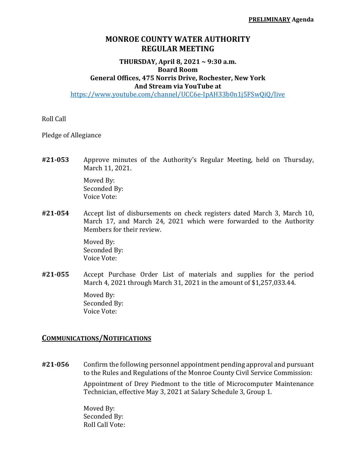## **MONROE COUNTY WATER AUTHORITY REGULAR MEETING**

## **THURSDAY, April 8, 2021 ~ 9:30 a.m. Board Room General Offices, 475 Norris Drive, Rochester, New York And Stream via YouTube at**

https://www.youtube.com/channel/UCC6e-IpAH33b0n1j5FSwQiQ/live

Roll Call

Pledge of Allegiance

**#21‐053** Approve minutes of the Authority's Regular Meeting, held on Thursday, March 11, 2021.

> Moved By: Seconded By: Voice Vote:

**#21‐054** Accept list of disbursements on check registers dated March 3, March 10, March 17, and March 24, 2021 which were forwarded to the Authority Members for their review.

> Moved By: Seconded By: Voice Vote:

**#21‐055** Accept Purchase Order List of materials and supplies for the period March 4, 2021 through March 31, 2021 in the amount of \$1,257,033.44.

> Moved By: Seconded By: Voice Vote:

## **COMMUNICATIONS/NOTIFICATIONS**

**#21‐056** Confirm the following personnel appointment pending approval and pursuant to the Rules and Regulations of the Monroe County Civil Service Commission:

> Appointment of Drey Piedmont to the title of Microcomputer Maintenance Technician, effective May 3, 2021 at Salary Schedule 3, Group 1.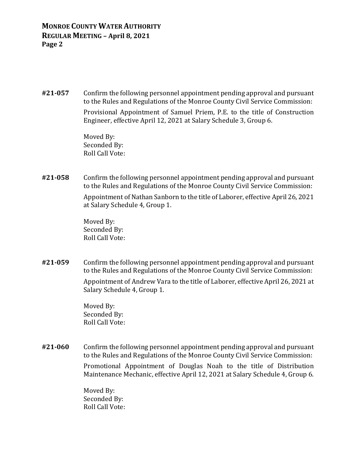## **MONROE COUNTY WATER AUTHORITY REGULAR MEETING – April 8, 2021 Page 2**

**#21‐057** Confirm the following personnel appointment pending approval and pursuant to the Rules and Regulations of the Monroe County Civil Service Commission:

> Provisional Appointment of Samuel Priem, P.E. to the title of Construction Engineer, effective April 12, 2021 at Salary Schedule 3, Group 6.

 Moved By: Seconded By: Roll Call Vote:

**#21‐058** Confirm the following personnel appointment pending approval and pursuant to the Rules and Regulations of the Monroe County Civil Service Commission: Appointment of Nathan Sanborn to the title of Laborer, effective April 26, 2021 at Salary Schedule 4, Group 1.

> Moved By: Seconded By: Roll Call Vote:

**#21‐059** Confirm the following personnel appointment pending approval and pursuant to the Rules and Regulations of the Monroe County Civil Service Commission: Appointment of Andrew Vara to the title of Laborer, effective April 26, 2021 at Salary Schedule 4, Group 1.

> Moved By: Seconded By: Roll Call Vote:

**#21‐060** Confirm the following personnel appointment pending approval and pursuant to the Rules and Regulations of the Monroe County Civil Service Commission:

> Promotional Appointment of Douglas Noah to the title of Distribution Maintenance Mechanic, effective April 12, 2021 at Salary Schedule 4, Group 6.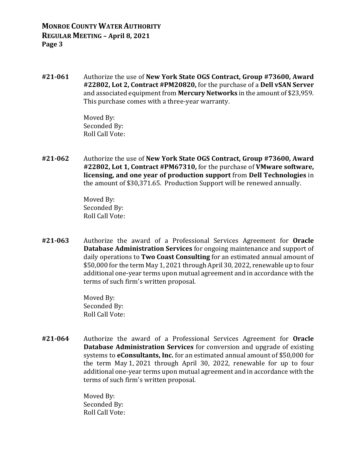**#21‐061** Authorize the use of **New York State OGS Contract, Group #73600, Award #22802, Lot 2, Contract #PM20820,** for the purchase of a **Dell vSAN Server** and associated equipment from **Mercury Networks** in the amount of \$23,959. This purchase comes with a three-year warranty.

> Moved By: Seconded By: Roll Call Vote:

**#21‐062** Authorize the use of **New York State OGS Contract, Group #73600, Award #22802, Lot 1, Contract #PM67310,** for the purchase of **VMware software, licensing, and one year of production support** from **Dell Technologies** in the amount of \$30,371.65. Production Support will be renewed annually.

> Moved By: Seconded By: Roll Call Vote:

**#21‐063** Authorize the award of a Professional Services Agreement for **Oracle Database Administration Services** for ongoing maintenance and support of daily operations to **Two Coast Consulting** for an estimated annual amount of \$50,000 for the term May 1, 2021 through April 30, 2022, renewable up to four additional one-year terms upon mutual agreement and in accordance with the terms of such firm's written proposal.

> Moved By: Seconded By: Roll Call Vote:

**#21‐064** Authorize the award of a Professional Services Agreement for **Oracle Database Administration Services** for conversion and upgrade of existing systems to **eConsultants, Inc.** for an estimated annual amount of \$50,000 for the term May 1, 2021 through April 30, 2022, renewable for up to four additional one-year terms upon mutual agreement and in accordance with the terms of such firm's written proposal.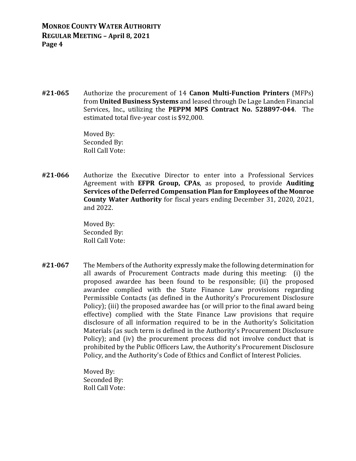**MONROE COUNTY WATER AUTHORITY REGULAR MEETING – April 8, 2021 Page 4**

**#21‐065** Authorize the procurement of 14 **Canon Multi‐Function Printers** (MFPs) from **United Business Systems** and leased through De Lage Landen Financial Services, Inc., utilizing the **PEPPM MPS Contract No. 528897‐044**. The estimated total five-year cost is \$92,000.

> Moved By: Seconded By: Roll Call Vote:

**#21‐066** Authorize the Executive Director to enter into a Professional Services Agreement with **EFPR Group, CPAs**, as proposed, to provide **Auditing Services ofthe Deferred Compensation Plan for Employees ofthe Monroe County Water Authority** for fiscal years ending December 31, 2020, 2021, and 2022.

> Moved By: Seconded By: Roll Call Vote:

**#21‐067** The Members of the Authority expressly make the following determination for all awards of Procurement Contracts made during this meeting: (i) the proposed awardee has been found to be responsible; (ii) the proposed awardee complied with the State Finance Law provisions regarding Permissible Contacts (as defined in the Authority's Procurement Disclosure Policy); (iii) the proposed awardee has (or will prior to the final award being effective) complied with the State Finance Law provisions that require disclosure of all information required to be in the Authority's Solicitation Materials (as such term is defined in the Authority's Procurement Disclosure Policy); and (iv) the procurement process did not involve conduct that is prohibited by the Public Officers Law, the Authority's Procurement Disclosure Policy, and the Authority's Code of Ethics and Conflict of Interest Policies.